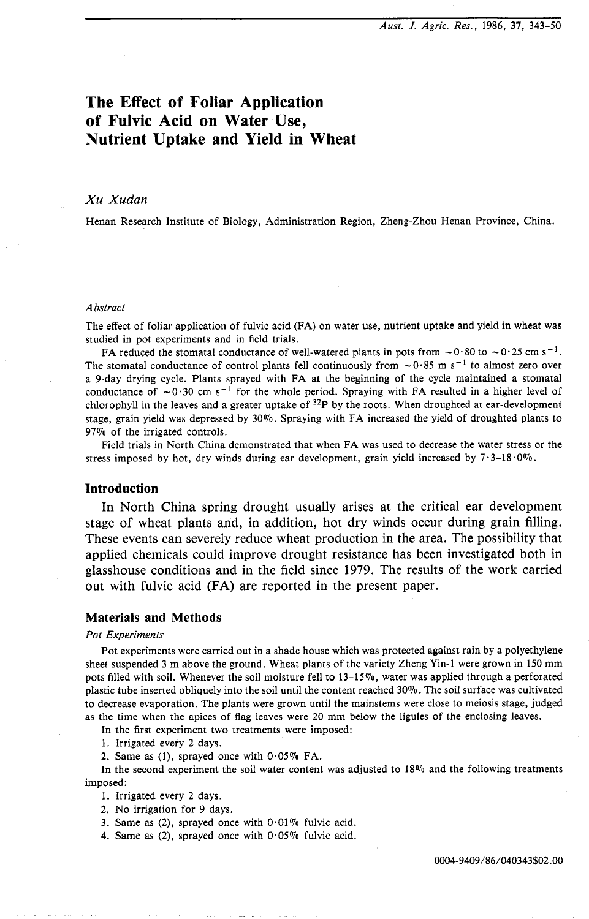# **The Effect of Foliar Application of Fulvic Acid on Water Use, Nutrient Uptake and Yield in Wheat**

## *Xu Xudan*

Henan Research Institute of Biology, Administration Region, Zheng-Zhou Henan Province, China.

#### *Abstract*

The effect of foliar application of fulvic acid (FA) on water use, nutrient uptake and yield in wheat was studied in pot experiments and in field trials.

FA reduced the stomatal conductance of well-watered plants in pots from  $\sim 0.80$  to  $\sim 0.25$  cm s<sup>-1</sup>. The stomatal conductance of control plants fell continuously from  $\sim 0.85$  m s<sup>-1</sup> to almost zero over a 9-day drying cycle. Plants sprayed with FA at the beginning of the cycle maintained a stomatal conductance of  $\sim 0.30$  cm s<sup>-1</sup> for the whole period. Spraying with FA resulted in a higher level of chlorophyll in the leaves and a greater uptake of  $32P$  by the roots. When droughted at ear-development stage, grain yield was depressed by 30%. Spraying with FA increased the yield of droughted plants to 97% of the irrigated controls.

Field trials in North China demonstrated that when FA was used to decrease the water stress or the stress imposed by hot, dry winds during ear development, grain yield increased by  $7 \cdot 3 - 18 \cdot 0\%$ .

## **Introduction**

In North China spring drought usually arises at the critical ear development stage of wheat plants and, in addition, hot dry winds occur during grain filling. These events can severely reduce wheat production in the area. The possibility that applied chemicals could improve drought resistance has been investigated both in glasshouse conditions and in the field since 1979. The results of the work carried out with fulvic acid (FA) are reported in the present paper.

# **Materials and Methods**

#### *Pot Experiments*

Pot experiments were carried out in a shade house which was protected against rain by a polyethylene sheet suspended 3 m above the ground. Wheat plants of the variety Zheng Yin-1 were grown in 150 mm pots filled with soil. Whenever the soil moisture fell to 13-15%, water was applied through a perforated plastic tube inserted obliquely into the soil until the content reached 30%. The soil surface was cultivated to decrease evaporation. The plants were grown until the mainstems were close to meiosis stage, judged as the time when the apices of flag leaves were 20 mm below the ligules of the enclosing leaves.

In the first experiment two treatments were imposed:

1. Irrigated every 2 days.

2. Same as (1), sprayed once with  $0.05\%$  FA.

In the second experiment the soil water content was adjusted to 18% and the following treatments imposed:

- 1. Irrigated every **2** days.
- 2. No irrigation for 9 days.

3. Same as (2), sprayed once with  $0.01\%$  fulvic acid.

4. Same as (2), sprayed once with  $0.05\%$  fulvic acid.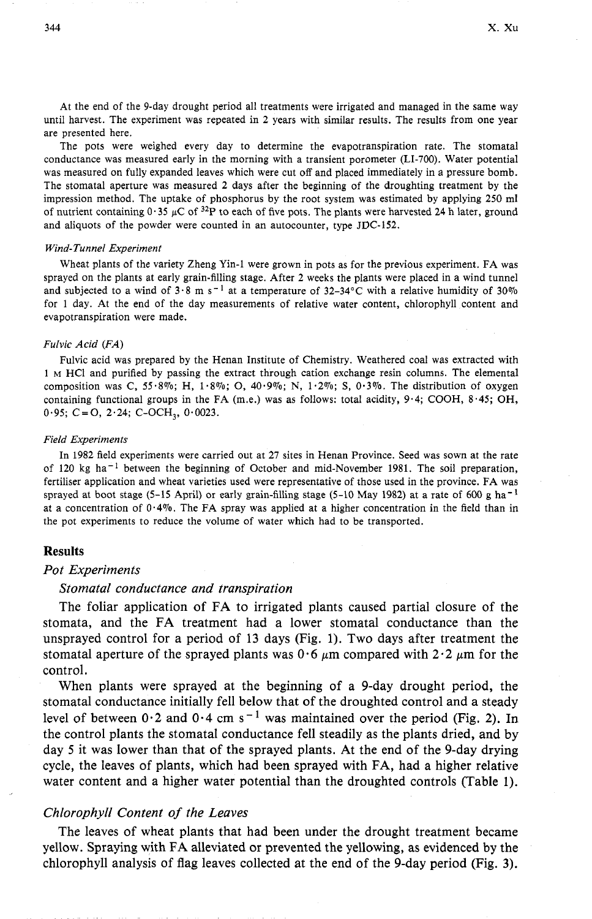At the end of the 9-day drought period all treatments were irrigated and managed in the same way until harvest. The experiment was repeated in 2 years with similar results. The results from one year are presented here.

The pots were weighed every day to determine the evapotranspiration rate. The stomatal conductance was measured early in the morning with a transient porometer (LI-700). Water potential was measured on fully expanded leaves which were cut off and placed immediately in a pressure bomb. The stomatal aperture was measured 2 days after the beginning of the droughting treatment by the impression method. The uptake of phosphorus by the root system was estimated by applying 250 ml of nutrient containing  $0.35 \mu C$  of  $32P$  to each of five pots. The plants were harvested 24 h later, ground and aliquots of the powder were counted in an autocounter, type JDC-152.

#### Wind-Tunnel Experiment

Wheat plants of the variety Zheng Yin-1 were grown in pots as for the previous experiment. FA was sprayed on the plants at early grain-filling stage. After 2 weeks the plants were placed in a wind tunnel and subjected to a wind of  $3.8 \text{ m s}^{-1}$  at a temperature of  $32-34^{\circ}$ C with a relative humidity of  $30\%$ for 1 day. At the end of the day measurements of relative water content, chlorophyll content and evapotranspiration were made.

## Fulvic Acid (FA)

Fulvic acid was prepared by the Henan Institute of Chemistry. Weathered coal was extracted with 1 M HC1 and purified by passing the extract through cation exchange resin columns. The elemental composition was C,  $55.8\%$ ; H,  $1.8\%$ ; O,  $40.9\%$ ; N,  $1.2\%$ ; S,  $0.3\%$ . The distribution of oxygen containing functional groups in the FA (m.e.) was as follows: total acidity, 9.4; COOH, 8.45; OH,  $0.95; C = O$ , 2.24; C-OCH<sub>3</sub>,  $0.0023$ .

#### Field Experiments

In 1982 field experiments were carried out at 27 sites in Henan Province. Seed was sown at the rate of 120 kg ha<sup>-1</sup> between the beginning of October and mid-November 1981. The soil preparation, fertiliser application and wheat varieties used were representative of those used in the province. FA was sprayed at boot stage (5-15 April) or early grain-filling stage (5-10 May 1982) at a rate of 600 g ha<sup>-1</sup> at a concentration of  $0.4\%$ . The FA spray was applied at a higher concentration in the field than in the pot experiments to reduce the volume of water which had to be transported.

## **Results**

## *Pot Experiments*

## *Stornatal conductance and transpiration*

The foliar application of FA to irrigated plants caused partial closure of the stomata, and the FA treatment had a lower stomatal conductance than the unsprayed control for a period of 13 days (Fig. 1). Two days after treatment the stomatal aperture of the sprayed plants was  $0.6 \mu m$  compared with  $2.2 \mu m$  for the control.

When plants were sprayed at the beginning of a 9-day drought period, the stomatal conductance initially fell below that of the droughted control and a steady level of between  $0.2$  and  $0.4$  cm s<sup>-1</sup> was maintained over the period (Fig. 2). In the control plants the stomatal conductance fell steadily as the plants dried, and by day 5 it was lower than that of the sprayed plants. At the end of the 9-day drying cycle, the leaves of plants, which had been sprayed with FA, had a higher relative water content and a higher water potential than the droughted controls (Table 1).

### *Chlorophyll Content of the Leaves*

The leaves of wheat plants that had been under the drought treatment became yellow. Spraying with FA alleviated or prevented the yellowing, as evidenced by the chlorophyll analysis of flag leaves collected at the end of the 9-day period (Fig. **3).**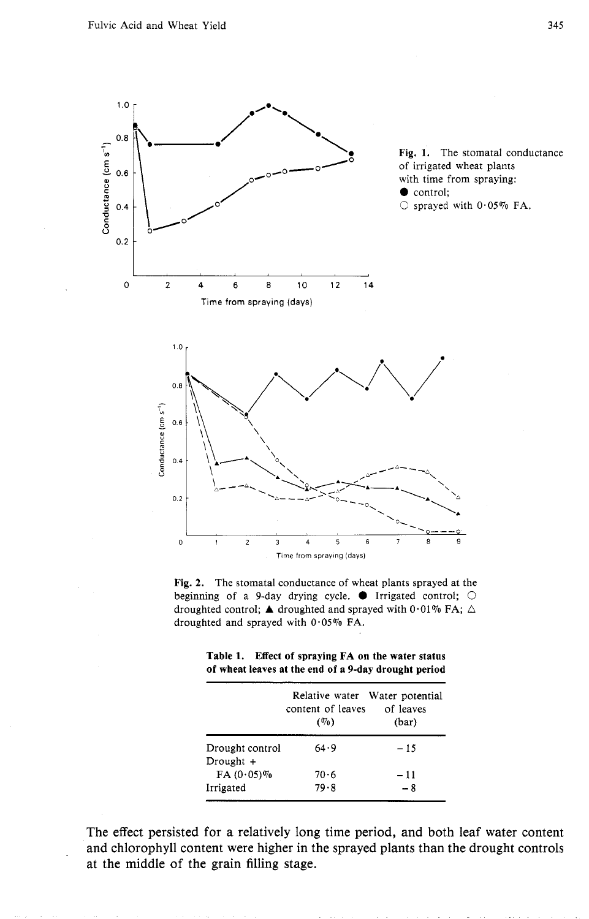



|  | Table 1. Effect of spraying FA on the water status   |  |
|--|------------------------------------------------------|--|
|  | of wheat leaves at the end of a 9-day drought period |  |
|  |                                                      |  |

|                              | content of leaves<br>(0, 0) | Relative water Water potential<br>of leaves<br>(bar) |
|------------------------------|-----------------------------|------------------------------------------------------|
| Drought control<br>Drought + | 64.9                        | $-15$                                                |
| $FA(0.05)\%$                 | 70.6                        | $-11$                                                |
| Irrigated                    | 79.8                        | $-8$                                                 |

The effect persisted for a relatively long time period, and both leaf water content and chlorophyll content were higher in the sprayed plants than the drought controls at the middle of the grain filling stage.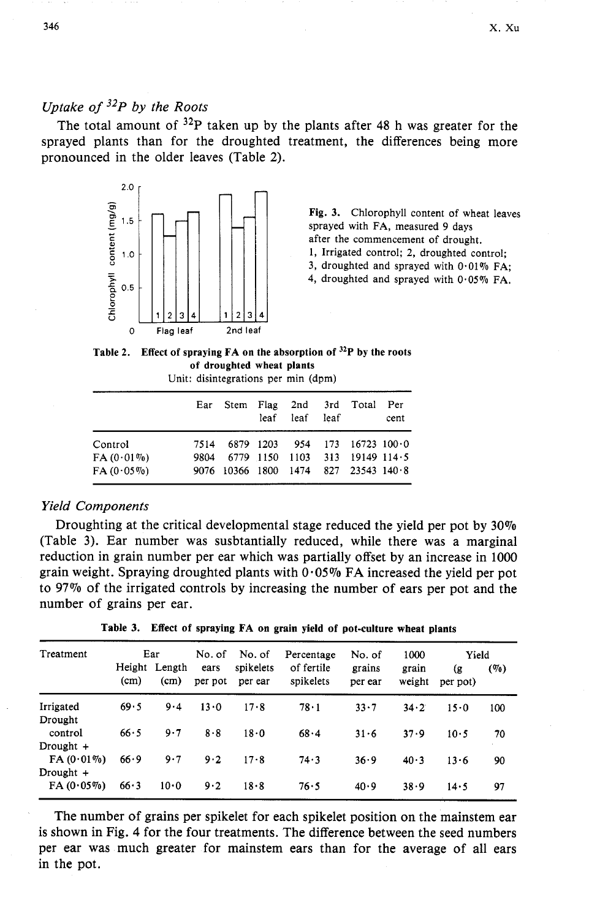# *Uptake of* <sup>32</sup>*P by the Roots*

The total amount of  $32P$  taken up by the plants after 48 h was greater for the sprayed plants than for the droughted treatment, the differences being more pronounced in the older leaves (Table 2).



**Fig. 3.** Chlorophyll content of wheat leaves sprayed with FA, measured 9 days after the commencement of drought. 1, Irrigated control; 2, droughted control; 3, droughted and sprayed with  $0.01\%$  FA;

4, droughted and sprayed with  $0.05\%$  FA.

| Table 2. Effect of spraying $FA$ on the absorption of $32P$ by the roots |
|--------------------------------------------------------------------------|
| of droughted wheat plants                                                |

Unit: disintegrations per min (dpm)

|              |      |  | leaf leaf leaf | Ear Stem Flag 2nd 3rd Total Per      | cent |
|--------------|------|--|----------------|--------------------------------------|------|
| Control      | 7514 |  |                | $6879$ 1203 954 173 16723 100.0      |      |
| $FA(0.01\%)$ | 9804 |  |                | 6779 1150 1103 313 19149 114.5       |      |
| $FA(0.05\%)$ |      |  |                | 9076 10366 1800 1474 827 23543 140.8 |      |

# *Yield Components*

Droughting at the critical developmental stage reduced the yield per pot by 30% (Table 3). Ear number was susbtantially reduced, while there was a marginal reduction in grain number per ear which was partially offset by an increase in 1000 grain weight. Spraying droughted plants with  $0.05\%$  FA increased the yield per pot to 97% of the irrigated controls by increasing the number of ears per pot and the<br>
number of grains per ear.<br> **Table 3.** Effect of spraying FA on grain yield of pot-culture wheat plants<br>
Freatment Ear No. of No. of Percent number of grains per ear.

**Table 3. Effect of spraying FA on grain yield of pot-culture wheat plants** 

| Height Length<br>spikelets<br>of fertile<br>grains<br>ears<br>grain<br>(g<br>spikelets<br>(cm)<br>(cm)<br>weight<br>per pot<br>per ear<br>per ear<br>per pot)<br>69.5<br>$9-4$<br>78.1<br>$13 \cdot 0$<br>17.8<br>33.7<br>34.2<br>15.0 | (90) |
|----------------------------------------------------------------------------------------------------------------------------------------------------------------------------------------------------------------------------------------|------|
| Irrigated                                                                                                                                                                                                                              |      |
|                                                                                                                                                                                                                                        | 100  |
| Drought<br>66.5<br>control<br>9.7<br>8.8<br>18.0<br>68.4<br>31.6<br>37.9<br>$10-5$                                                                                                                                                     | 70   |
| Drought $+$                                                                                                                                                                                                                            |      |
| $FA(0.01\%)$<br>66.9<br>9.7<br>9.2<br>74.3<br>17.8<br>36.9<br>40.3<br>13.6                                                                                                                                                             | 90   |
| Drought +                                                                                                                                                                                                                              |      |
| $FA(0.05\%)$<br>66.3<br>10.0<br>9.2<br>18.8<br>76.5<br>40.9<br>38.9<br>14.5                                                                                                                                                            | 97   |

The number of grains per spikelet for each spikelet position on the mainstem ear is shown in Fig. 4 for the four treatments. The difference between the seed numbers per ear was much greater for mainskm ears than for the average of all ears in the pot.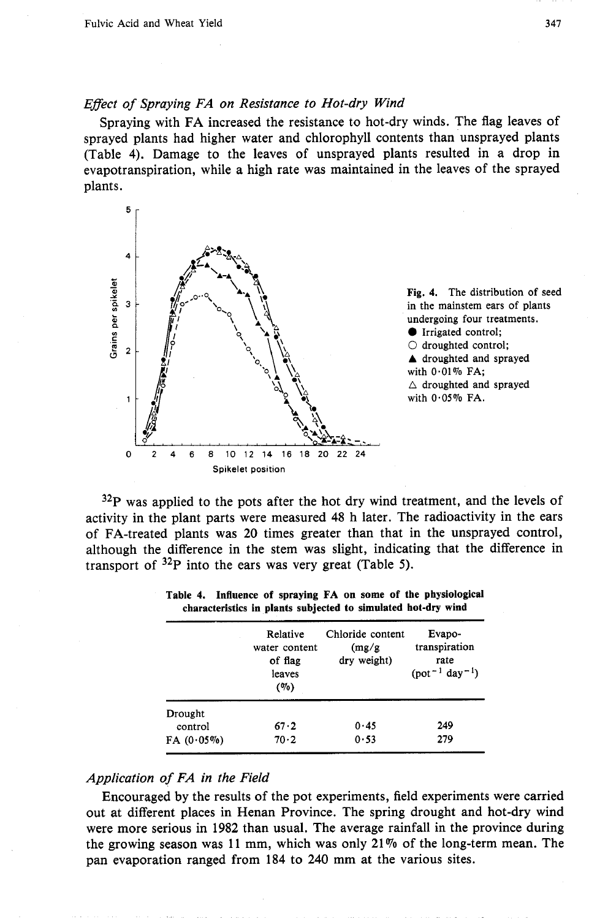## *Effect of Spraying FA on Resistance to Hot-dry Wind*

Spraying with FA increased the resistance to hot-dry winds. The flag leaves of sprayed plants had higher water and chlorophyll contents than unsprayed plants (Table **4).** Damage to the leaves of unsprayed plants resulted in a drop in evapotranspiration, while a high rate was maintained in the leaves of the sprayed plants.



**Fig. 4.** The distribution of seed in the mainstem ears of plants undergoing four treatments. **0** Irrigated control;  $\circlearrowright$  droughted control;  $\triangle$  droughted and sprayed with 0.01% FA;  $\triangle$  droughted and sprayed with  $0.05\%$  FA.

 $32P$  was applied to the pots after the hot dry wind treatment, and the levels of activity in the plant parts were measured **48** h later. The radioactivity in the ears of FA-treated plants was **20** times greater than that in the unsprayed control, although the difference in the stem was slight, indicating that the difference in transport of  $32P$  into the ears was very great (Table 5).

|                    | Relative<br>water content<br>of flag<br>leaves<br>$($ %) | Chloride content<br>(mg/g)<br>dry weight) | Evapo-<br>transpiration<br>rate<br>$(pot^{-1} day^{-1})$ |
|--------------------|----------------------------------------------------------|-------------------------------------------|----------------------------------------------------------|
| Drought<br>control | 67.2                                                     | 0.45                                      | 249                                                      |
| $FA(0.05\%)$       | 70.2                                                     | 0.53                                      | 279                                                      |

**Table 4. Influence of spraying FA on some of the physiological characteristics in plants subjected to simulated hot-dry wind** 

# *Application of FA in the Field*

Encouraged by the results of the pot experiments, field experiments were carried out at different places in Henan Province. The spring drought and hot-dry wind were more serious in **1982** than usual. The average rainfall in the province during the growing season was **11** mm, which was only **21%** of the long-term mean. The pan evaporation ranged from **184** to **240** mm at the various sites.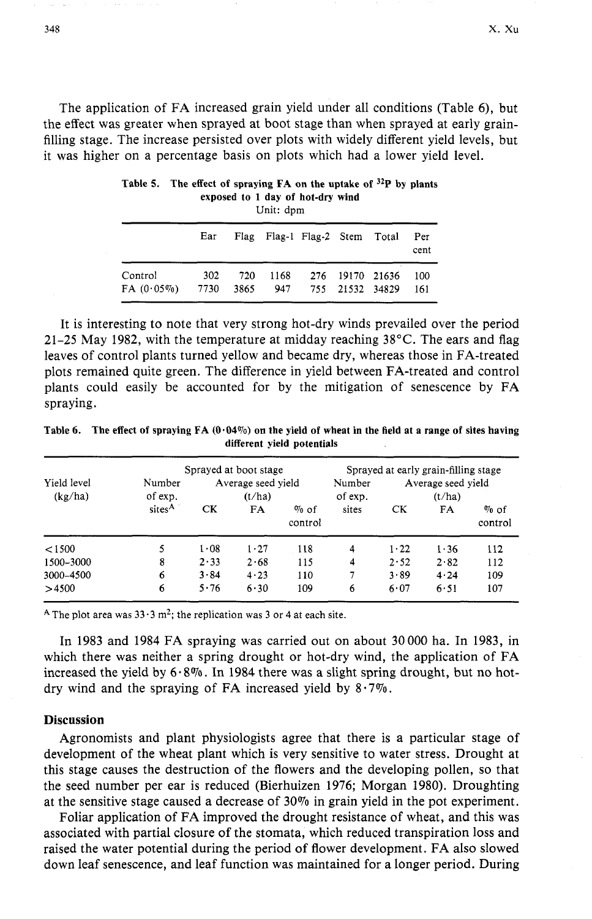The application of FA increased grain yield under all conditions (Table 6), but the effect was greater when sprayed at boot stage than when sprayed at early grainfilling stage. The increase persisted over plots with widely different yield levels, but it was higher on a percentage basis on plots which had a lower yield level.

|                                   | Ear | Flag Flag-1 Flag-2 Stem Total |                 |                 | Per<br>cent |
|-----------------------------------|-----|-------------------------------|-----------------|-----------------|-------------|
| Control<br>$FA(0.05\%)$ 7730 3865 | 302 | 720 1168<br>947               | 755 21532 34829 | 276 19170 21636 | 100<br>-161 |

| Table 5. The effect of spraying $FA$ on the uptake of $32P$ by plants |
|-----------------------------------------------------------------------|
| exposed to 1 day of hot-dry wind                                      |
| Unit: dpm                                                             |

It is interesting to note that very strong hot-dry winds prevailed over the period 21-25 May 1982, with the temperature at midday reaching  $38^{\circ}$ C. The ears and flag leaves of control plants turned yellow and became dry, whereas those in FA-treated plots remained quite green. The difference in yield between FA-treated and control plants could easily be accounted for by the mitigation of senescence by FA spraying.

| Table 6. | The effect of spraying $FA(0.04\%)$ on the yield of wheat in the field at a range of sites having<br>different vield potentials |                                      |
|----------|---------------------------------------------------------------------------------------------------------------------------------|--------------------------------------|
|          | Sprayed at boot stage                                                                                                           | Sprayed at early grain-filling stage |

| Yield level<br>(kg/ha) | Number<br>of exp.  |      | Sprayed at boot stage<br>Average seed yield<br>(t/ha) |                    | Number<br>of exp. |      | Sprayed at early grain-filling stage<br>Average seed yield<br>(t/ha) |                    |
|------------------------|--------------------|------|-------------------------------------------------------|--------------------|-------------------|------|----------------------------------------------------------------------|--------------------|
|                        | sites <sup>A</sup> | CK   | FA                                                    | $\%$ of<br>control | sites             | CК   | FA                                                                   | $\%$ of<br>control |
| < 1500                 | 5                  | 1.08 | $1 - 27$                                              | 118                | 4                 | 1.22 | 1.36                                                                 | 112                |
| 1500-3000              | 8                  | 2.33 | 2.68                                                  | 115                | 4                 | 2.52 | 2.82                                                                 | 112                |
| 3000-4500              | 6                  | 3.84 | 4.23                                                  | 110                | 7                 | 3.89 | 4.24                                                                 | 109                |
| >4500                  | 6                  | 5.76 | 6.30                                                  | 109                | 6                 | 6.07 | 6.51                                                                 | 107                |

<sup>A</sup> The plot area was  $33.3 \text{ m}^2$ ; the replication was 3 or 4 at each site.

In 1983 and 1984 FA spraying was carried out on about 30000 ha. In 1983, in which there was neither a spring drought or hot-dry wind, the application of FA increased the yield by  $6.8\%$ . In 1984 there was a slight spring drought, but no hotdry wind and the spraying of FA increased yield by  $8.7\%$ .

# **Discussion**

Agronomists and plant physiologists agree that there is a particular stage of development of the wheat plant which is very sensitive to water stress. Drought at this stage causes the destruction of the flowers and the developing pollen, so that the seed number per ear is reduced (Bierhuizen 1976; Morgan 1980). Droughting at the sensitive stage caused a decrease of  $30\%$  in grain yield in the pot experiment.

Foliar application of FA improved the drought resistance of wheat, and this was associated with partial closure of the stomata, which reduced transpiration loss and raised the water potential during the period of flower development. FA also slowed down leaf senescence, and leaf function was maintained for a longer period. During

348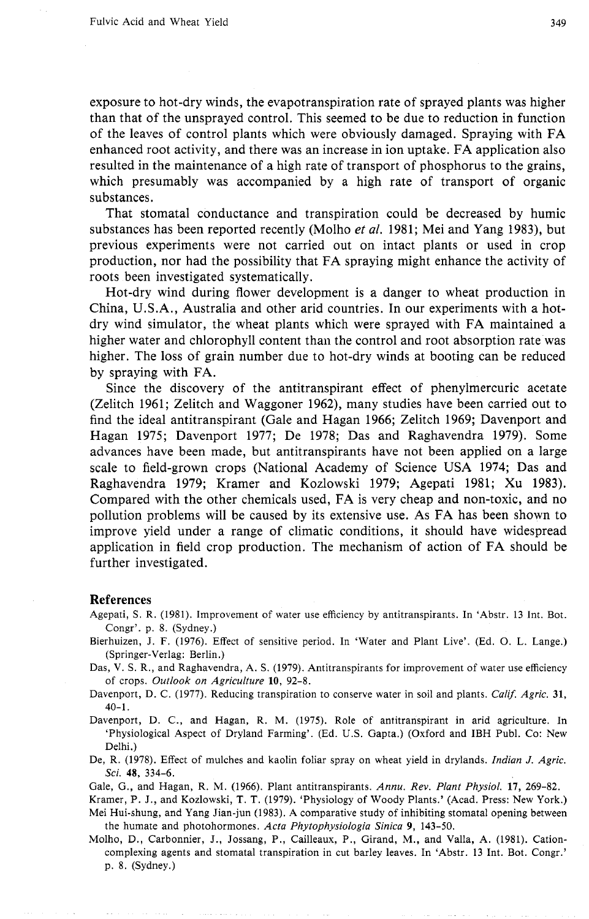exposure to hot-dry winds, the evapotranspiration rate of sprayed plants was higher than that of the unsprayed control. This seemed to be due to reduction in function of the leaves of control plants which were obviously damaged. Spraying with FA enhanced root activity, and there was an increase in ion uptake. FA application also resulted in the maintenance of a high rate of transport of phosphorus to the grains, which presumably was accompanied by a high rate of transport of organic substances.

That stomatal conductance and transpiration could be decreased by humic substances has been reported recently (Molho *et al.* 1981; Mei and Yang 1983), but previous experiments were not carried out on intact plants or used in crop production, nor had the possibility that FA spraying might enhance the activity of roots been investigated systematically.

Hot-dry wind during flower development is a danger to wheat production in China, U.S.A., Australia and other arid countries. In our experiments with a hotdry wind simulator, the wheat plants which were sprayed with FA maintained a higher water and chlorophyll content than the control and root absorption rate was higher. The loss of grain number due to hot-dry winds at booting can be reduced by spraying with FA.

Since the discovery of the antitranspirant effect of phenylmercuric acetate (Zelitch 1961; Zelitch and Waggoner 1962), many studies have been carried out to find the ideal antitranspirant (Gale and Hagan 1966; Zelitch 1969; Davenport and Hagan 1975; Davenport 1977; De 1978; Das and Raghavendra 1979). Some advances have been made, but antitranspirants have not been applied on a large scale to field-grown crops (National Academy of Science USA 1974; Das and Raghavendra 1979; Kramer and Kozlowski 1979; Agepati 1981; Xu 1983). Compared with the other chemicals used, FA is very cheap and non-toxic, and no pollution problems will be caused by its extensive use. As FA has been shown to improve yield under a range of climatic conditions, it should have widespread application in field crop production. The mechanism of action of FA should be further investigated.

#### **References**

- Bierhuizen, J. F. (1976). Effect of sensitive period. In 'Water and Plant Live'. (Ed. 0. L. Lange.) (Springer-Verlag: Berlin.)
- Das, V. S. R., and Raghavendra, A. S. (1979). Antitranspirants for improvement of water use efficiency of crops. *Outlook on Agriculture* **10,** 92-8.
- Davenport, D. C. (1977). Reducing transpiration to conserve water in soil and plants. *Calif. Agric.* **31,**  40-1.

Davenport, D. C., and Hagan, R. M. (1975). Role of antitranspirant in arid agriculture. In 'Physiological Aspect of Dryland Farming'. (Ed. U.S. Gapta.) (Oxford and IBH Publ. Co: New Delhi.)

De, R. (1978). Effect of mulches and kaolin foliar spray on wheat yield in drylands. *Indian J. Agric. Sci. 48,* 334-6.

Gale, G., and Hagan, R. M. (1966). Plant antitranspirants. *Annu. Rev. Plant Physiol.* **17,** 269-82.

Kramer, P. J., and Kozlowski, T. T. (1979). 'Physiology of Woody Plants.' (Acad. Press: New York.) Mei Hui-shung, and Yang Jian-jun (1983). **A** comparative study of inhibiting stomatal opening between the humate and photohormones. *Acta Phytophysiologia Sinica* **9,** 143-50.

Molho, D., Carbonnier, J., Jossang, P., Cailleaux, P., Girand, M., and Valla, A. (1981). Cationcomplexing agents and stomatal transpiration in cut barley leaves. In 'Abstr. 13 Int. Bot. Congr.' p. 8. (Sydney.)

Agepati, S. R. (1981). Improvement of water use efficiency by antitranspirants. In 'Abstr. 13 Int. Bot. Congr'. p. 8. (Sydney.)